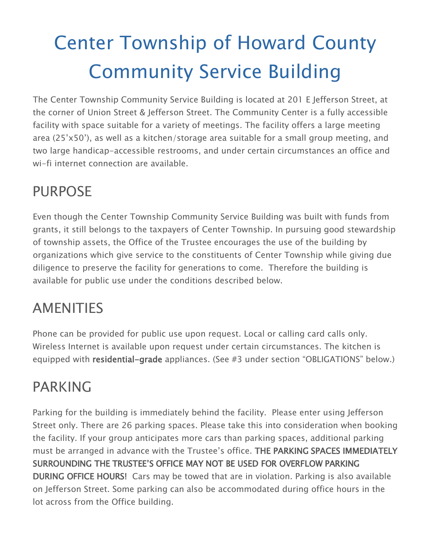# Center Township of Howard County Community Service Building

The Center Township Community Service Building is located at 201 E Jefferson Street, at the corner of Union Street & Jefferson Street. The Community Center is a fully accessible facility with space suitable for a variety of meetings. The facility offers a large meeting area (25'x50'), as well as a kitchen/storage area suitable for a small group meeting, and two large handicap-accessible restrooms, and under certain circumstances an office and wi-fi internet connection are available.

# PURPOSE

Even though the Center Township Community Service Building was built with funds from grants, it still belongs to the taxpayers of Center Township. In pursuing good stewardship of township assets, the Office of the Trustee encourages the use of the building by organizations which give service to the constituents of Center Township while giving due diligence to preserve the facility for generations to come. Therefore the building is available for public use under the conditions described below.

## AMENITIES

Phone can be provided for public use upon request. Local or calling card calls only. Wireless Internet is available upon request under certain circumstances. The kitchen is equipped with residential-grade appliances. (See #3 under section "OBLIGATIONS" below.)

## PARKING

Parking for the building is immediately behind the facility. Please enter using Jefferson Street only. There are 26 parking spaces. Please take this into consideration when booking the facility. If your group anticipates more cars than parking spaces, additional parking must be arranged in advance with the Trustee's office. THE PARKING SPACES IMMEDIATELY SURROUNDING THE TRUSTEE'S OFFICE MAY NOT BE USED FOR OVERFLOW PARKING DURING OFFICE HOURS! Cars may be towed that are in violation. Parking is also available on Jefferson Street. Some parking can also be accommodated during office hours in the lot across from the Office building.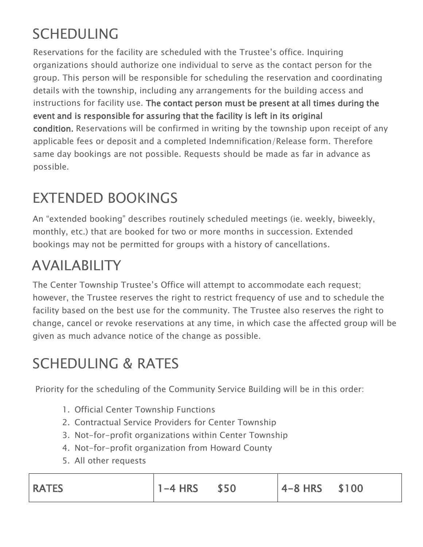# SCHEDULING

Reservations for the facility are scheduled with the Trustee's office. Inquiring organizations should authorize one individual to serve as the contact person for the group. This person will be responsible for scheduling the reservation and coordinating details with the township, including any arrangements for the building access and instructions for facility use. The contact person must be present at all times during the event and is responsible for assuring that the facility is left in its original condition. Reservations will be confirmed in writing by the township upon receipt of any applicable fees or deposit and a completed Indemnification/Release form. Therefore same day bookings are not possible. Requests should be made as far in advance as possible.

# EXTENDED BOOKINGS

An "extended booking" describes routinely scheduled meetings (ie. weekly, biweekly, monthly, etc.) that are booked for two or more months in succession. Extended bookings may not be permitted for groups with a history of cancellations.

## AVAILABILITY

The Center Township Trustee's Office will attempt to accommodate each request; however, the Trustee reserves the right to restrict frequency of use and to schedule the facility based on the best use for the community. The Trustee also reserves the right to change, cancel or revoke reservations at any time, in which case the affected group will be given as much advance notice of the change as possible.

#### SCHEDULING & RATES

Priority for the scheduling of the Community Service Building will be in this order:

- 1. Official Center Township Functions
- 2. Contractual Service Providers for Center Township
- 3. Not-for-profit organizations within Center Township
- 4. Not-for-profit organization from Howard County
- 5. All other requests

| <b>RATES</b> | $1 - 4$ HRS $$50$ |  | $ 4 - 8$ HRS $$100$ |  |  |
|--------------|-------------------|--|---------------------|--|--|
|--------------|-------------------|--|---------------------|--|--|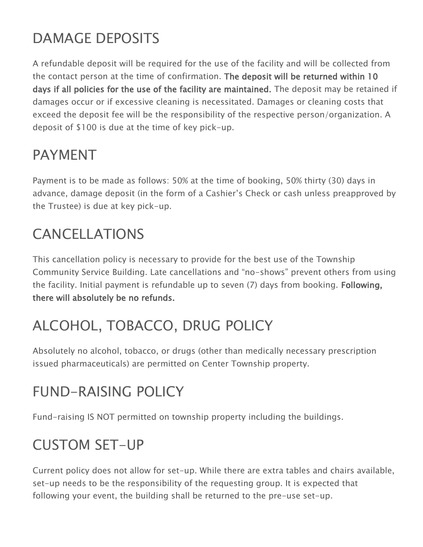# DAMAGE DEPOSITS

A refundable deposit will be required for the use of the facility and will be collected from the contact person at the time of confirmation. The deposit will be returned within 10 days if all policies for the use of the facility are maintained. The deposit may be retained if damages occur or if excessive cleaning is necessitated. Damages or cleaning costs that exceed the deposit fee will be the responsibility of the respective person/organization. A deposit of \$100 is due at the time of key pick-up.

## PAYMENT

Payment is to be made as follows: 50% at the time of booking, 50% thirty (30) days in advance, damage deposit (in the form of a Cashier's Check or cash unless preapproved by the Trustee) is due at key pick-up.

## CANCELLATIONS

This cancellation policy is necessary to provide for the best use of the Township Community Service Building. Late cancellations and "no-shows" prevent others from using the facility. Initial payment is refundable up to seven (7) days from booking. Following, there will absolutely be no refunds.

# ALCOHOL, TOBACCO, DRUG POLICY

Absolutely no alcohol, tobacco, or drugs (other than medically necessary prescription issued pharmaceuticals) are permitted on Center Township property.

# FUND-RAISING POLICY

Fund-raising IS NOT permitted on township property including the buildings.

## CUSTOM SET-UP

Current policy does not allow for set-up. While there are extra tables and chairs available, set-up needs to be the responsibility of the requesting group. It is expected that following your event, the building shall be returned to the pre-use set-up.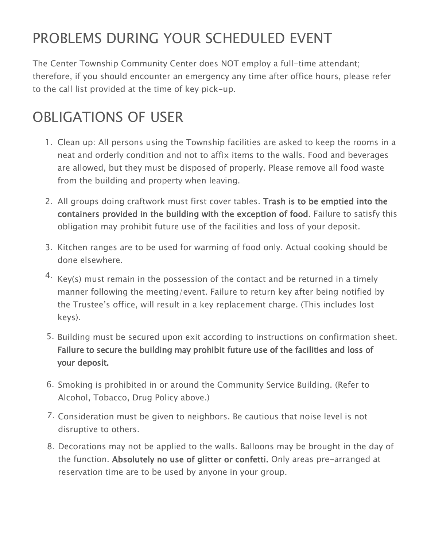# PROBLEMS DURING YOUR SCHEDULED EVENT

The Center Township Community Center does NOT employ a full-time attendant; therefore, if you should encounter an emergency any time after office hours, please refer to the call list provided at the time of key pick-up.

## OBLIGATIONS OF USER

- 1. Clean up: All persons using the Township facilities are asked to keep the rooms in a neat and orderly condition and not to affix items to the walls. Food and beverages are allowed, but they must be disposed of properly. Please remove all food waste from the building and property when leaving.
- 2. All groups doing craftwork must first cover tables. Trash is to be emptied into the containers provided in the building with the exception of food. Failure to satisfy this obligation may prohibit future use of the facilities and loss of your deposit.
- 3. Kitchen ranges are to be used for warming of food only. Actual cooking should be done elsewhere.
- $4.$  Key(s) must remain in the possession of the contact and be returned in a timely manner following the meeting/event. Failure to return key after being notified by the Trustee's office, will result in a key replacement charge. (This includes lost keys).
- 5. Building must be secured upon exit according to instructions on confirmation sheet. Failure to secure the building may prohibit future use of the facilities and loss of your deposit.
- 6. Smoking is prohibited in or around the Community Service Building. (Refer to Alcohol, Tobacco, Drug Policy above.)
- 7. Consideration must be given to neighbors. Be cautious that noise level is not disruptive to others.
- 8. Decorations may not be applied to the walls. Balloons may be brought in the day of the function. Absolutely no use of glitter or confetti. Only areas pre-arranged at reservation time are to be used by anyone in your group.